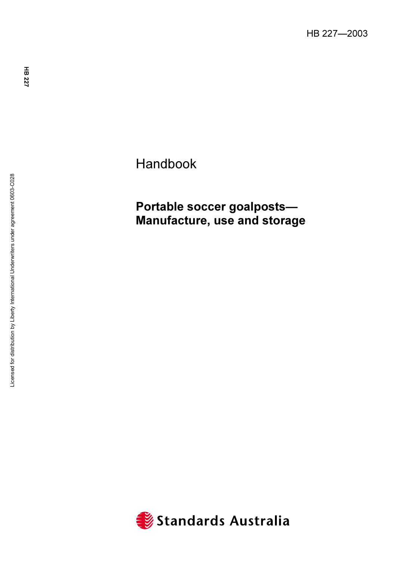Handbook

Portable soccer goalposts— Manufacture, use and storage

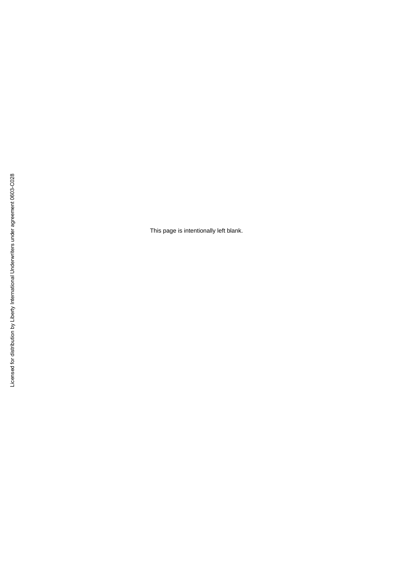This page is intentionally left blank.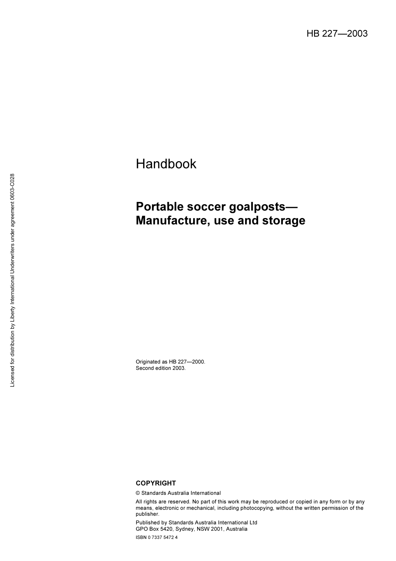Handbook

# Portable soccer goalposts— Manufacture, use and storage

Originated as HB 227—2000. Second edition 2003.

**COPYRIGHT** 

© Standards Australia International

All rights are reserved. No part of this work may be reproduced or copied in any form or by any means, electronic or mechanical, including photocopying, without the written permission of the publisher.

Published by Standards Australia International Ltd GPO Box 5420, Sydney, NSW 2001, Australia ISBN 0 7337 5472 4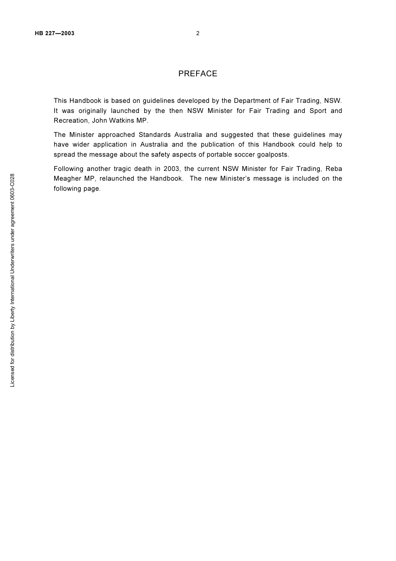## PREFACE

This Handbook is based on guidelines developed by the Department of Fair Trading, NSW. It was originally launched by the then NSW Minister for Fair Trading and Sport and Recreation, John Watkins MP.

The Minister approached Standards Australia and suggested that these guidelines may have wider application in Australia and the publication of this Handbook could help to spread the message about the safety aspects of portable soccer goalposts.

Following another tragic death in 2003, the current NSW Minister for Fair Trading, Reba Meagher MP, relaunched the Handbook. The new Minister's message is included on the following page.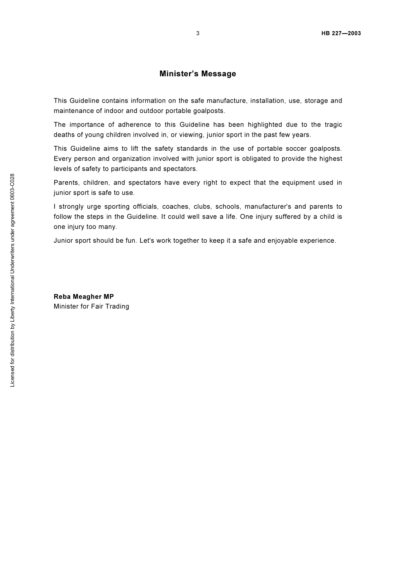#### Minister's Message

This Guideline contains information on the safe manufacture, installation, use, storage and maintenance of indoor and outdoor portable goalposts.

The importance of adherence to this Guideline has been highlighted due to the tragic deaths of young children involved in, or viewing, junior sport in the past few years.

This Guideline aims to lift the safety standards in the use of portable soccer goalposts. Every person and organization involved with junior sport is obligated to provide the highest levels of safety to participants and spectators.

Parents, children, and spectators have every right to expect that the equipment used in junior sport is safe to use.

I strongly urge sporting officials, coaches, clubs, schools, manufacturer's and parents to follow the steps in the Guideline. It could well save a life. One injury suffered by a child is one injury too many.

Junior sport should be fun. Let's work together to keep it a safe and enjoyable experience.

Reba Meagher MP Minister for Fair Trading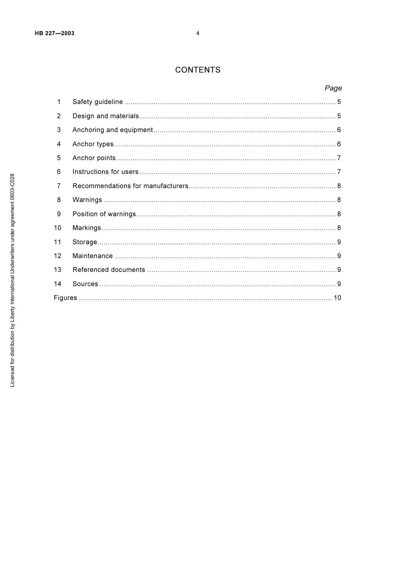# **CONTENTS**

# Page

| 1              |  |
|----------------|--|
| $\overline{2}$ |  |
| 3              |  |
| 4              |  |
| 5              |  |
| 6              |  |
| 7              |  |
| 8              |  |
| 9              |  |
| 10             |  |
| 11             |  |
| 12             |  |
| 13             |  |
| 14             |  |
|                |  |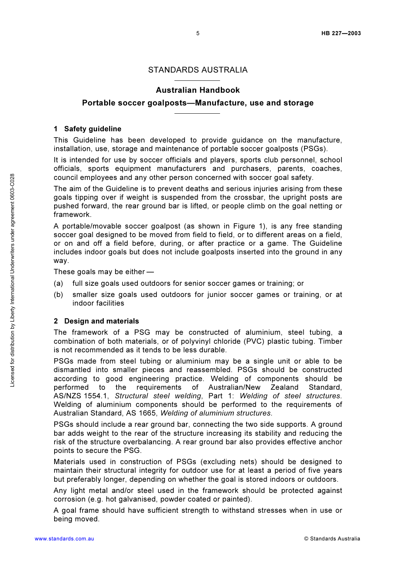## STANDARDS AUSTRALIA

## Australian Handbook

#### Portable soccer goalposts—Manufacture, use and storage

#### 1 Safety guideline

This Guideline has been developed to provide guidance on the manufacture, installation, use, storage and maintenance of portable soccer goalposts (PSGs).

It is intended for use by soccer officials and players, sports club personnel, school officials, sports equipment manufacturers and purchasers, parents, coaches, council employees and any other person concerned with soccer goal safety.

The aim of the Guideline is to prevent deaths and serious injuries arising from these goals tipping over if weight is suspended from the crossbar, the upright posts are pushed forward, the rear ground bar is lifted, or people climb on the goal netting or framework.

A portable/movable soccer goalpost (as shown in Figure 1), is any free standing soccer goal designed to be moved from field to field, or to different areas on a field, or on and off a field before, during, or after practice or a game. The Guideline includes indoor goals but does not include goalposts inserted into the ground in any way.

These goals may be either —

- (a) full size goals used outdoors for senior soccer games or training; or
- (b) smaller size goals used outdoors for junior soccer games or training, or at indoor facilities

#### 2 Design and materials

The framework of a PSG may be constructed of aluminium, steel tubing, a combination of both materials, or of polyvinyl chloride (PVC) plastic tubing. Timber is not recommended as it tends to be less durable.

PSGs made from steel tubing or aluminium may be a single unit or able to be dismantled into smaller pieces and reassembled. PSGs should be constructed according to good engineering practice. Welding of components should be performed to the requirements of Australian/New Zealand Standard, AS/NZS 1554.1, Structural steel welding, Part 1: Welding of steel structures. Welding of aluminium components should be performed to the requirements of Australian Standard, AS 1665, Welding of aluminium structures.

PSGs should include a rear ground bar, connecting the two side supports. A ground bar adds weight to the rear of the structure increasing its stability and reducing the risk of the structure overbalancing. A rear ground bar also provides effective anchor points to secure the PSG.

Materials used in construction of PSGs (excluding nets) should be designed to maintain their structural integrity for outdoor use for at least a period of five years but preferably longer, depending on whether the goal is stored indoors or outdoors.

Any light metal and/or steel used in the framework should be protected against corrosion (e.g. hot galvanised, powder coated or painted).

A goal frame should have sufficient strength to withstand stresses when in use or being moved.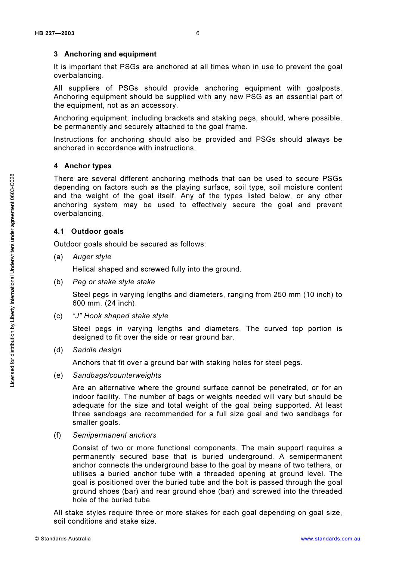## 3 Anchoring and equipment

It is important that PSGs are anchored at all times when in use to prevent the goal overbalancing.

All suppliers of PSGs should provide anchoring equipment with goalposts. Anchoring equipment should be supplied with any new PSG as an essential part of the equipment, not as an accessory.

Anchoring equipment, including brackets and staking pegs, should, where possible, be permanently and securely attached to the goal frame.

Instructions for anchoring should also be provided and PSGs should always be anchored in accordance with instructions.

## 4 Anchor types

There are several different anchoring methods that can be used to secure PSGs depending on factors such as the playing surface, soil type, soil moisture content and the weight of the goal itself. Any of the types listed below, or any other anchoring system may be used to effectively secure the goal and prevent overbalancing.

## 4.1 Outdoor goals

Outdoor goals should be secured as follows:

(a) Auger style

Helical shaped and screwed fully into the ground.

(b) Peg or stake style stake

Steel pegs in varying lengths and diameters, ranging from 250 mm (10 inch) to 600 mm. (24 inch).

(c) "J" Hook shaped stake style

Steel pegs in varying lengths and diameters. The curved top portion is designed to fit over the side or rear ground bar.

(d) Saddle design

Anchors that fit over a ground bar with staking holes for steel pegs.

(e) Sandbags/counterweights

Are an alternative where the ground surface cannot be penetrated, or for an indoor facility. The number of bags or weights needed will vary but should be adequate for the size and total weight of the goal being supported. At least three sandbags are recommended for a full size goal and two sandbags for smaller goals.

(f) Semipermanent anchors

Consist of two or more functional components. The main support requires a permanently secured base that is buried underground. A semipermanent anchor connects the underground base to the goal by means of two tethers, or utilises a buried anchor tube with a threaded opening at ground level. The goal is positioned over the buried tube and the bolt is passed through the goal ground shoes (bar) and rear ground shoe (bar) and screwed into the threaded hole of the buried tube.

All stake styles require three or more stakes for each goal depending on goal size, soil conditions and stake size.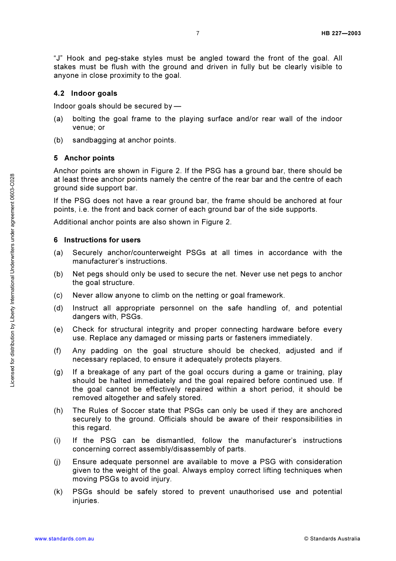"J" Hook and peg-stake styles must be angled toward the front of the goal. All stakes must be flush with the ground and driven in fully but be clearly visible to anyone in close proximity to the goal.

## 4.2 Indoor goals

Indoor goals should be secured by —

- (a) bolting the goal frame to the playing surface and/or rear wall of the indoor venue; or
- (b) sandbagging at anchor points.

## 5 Anchor points

Anchor points are shown in Figure 2. If the PSG has a ground bar, there should be at least three anchor points namely the centre of the rear bar and the centre of each ground side support bar.

If the PSG does not have a rear ground bar, the frame should be anchored at four points, i.e. the front and back corner of each ground bar of the side supports.

Additional anchor points are also shown in Figure 2.

#### 6 Instructions for users

- (a) Securely anchor/counterweight PSGs at all times in accordance with the manufacturer's instructions.
- (b) Net pegs should only be used to secure the net. Never use net pegs to anchor the goal structure.
- (c) Never allow anyone to climb on the netting or goal framework.
- (d) Instruct all appropriate personnel on the safe handling of, and potential dangers with, PSGs.
- (e) Check for structural integrity and proper connecting hardware before every use. Replace any damaged or missing parts or fasteners immediately.
- (f) Any padding on the goal structure should be checked, adjusted and if necessary replaced, to ensure it adequately protects players.
- (g) If a breakage of any part of the goal occurs during a game or training, play should be halted immediately and the goal repaired before continued use. If the goal cannot be effectively repaired within a short period, it should be removed altogether and safely stored.
- (h) The Rules of Soccer state that PSGs can only be used if they are anchored securely to the ground. Officials should be aware of their responsibilities in this regard.
- (i) If the PSG can be dismantled, follow the manufacturer's instructions concerning correct assembly/disassembly of parts.
- (j) Ensure adequate personnel are available to move a PSG with consideration given to the weight of the goal. Always employ correct lifting techniques when moving PSGs to avoid injury.
- (k) PSGs should be safely stored to prevent unauthorised use and potential injuries.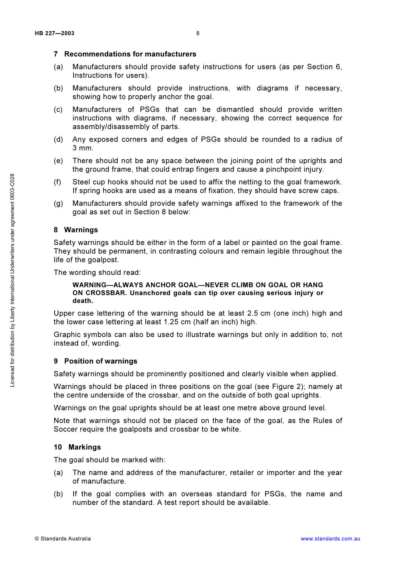#### 7 Recommendations for manufacturers

- (a) Manufacturers should provide safety instructions for users (as per Section 6, Instructions for users).
- (b) Manufacturers should provide instructions, with diagrams if necessary, showing how to properly anchor the goal.
- (c) Manufacturers of PSGs that can be dismantled should provide written instructions with diagrams, if necessary, showing the correct sequence for assembly/disassembly of parts.
- (d) Any exposed corners and edges of PSGs should be rounded to a radius of 3 mm.
- (e) There should not be any space between the joining point of the uprights and the ground frame, that could entrap fingers and cause a pinchpoint injury.
- (f) Steel cup hooks should not be used to affix the netting to the goal framework. If spring hooks are used as a means of fixation, they should have screw caps.
- (g) Manufacturers should provide safety warnings affixed to the framework of the goal as set out in Section 8 below:

#### 8 Warnings

Safety warnings should be either in the form of a label or painted on the goal frame. They should be permanent, in contrasting colours and remain legible throughout the life of the goalpost.

The wording should read:

#### WARNING—ALWAYS ANCHOR GOAL—NEVER CLIMB ON GOAL OR HANG ON CROSSBAR. Unanchored goals can tip over causing serious injury or death.

Upper case lettering of the warning should be at least 2.5 cm (one inch) high and the lower case lettering at least 1.25 cm (half an inch) high.

Graphic symbols can also be used to illustrate warnings but only in addition to, not instead of, wording.

#### 9 Position of warnings

Safety warnings should be prominently positioned and clearly visible when applied.

Warnings should be placed in three positions on the goal (see Figure 2); namely at the centre underside of the crossbar, and on the outside of both goal uprights.

Warnings on the goal uprights should be at least one metre above ground level.

Note that warnings should not be placed on the face of the goal, as the Rules of Soccer require the goalposts and crossbar to be white.

#### 10 Markings

The goal should be marked with:

- (a) The name and address of the manufacturer, retailer or importer and the year of manufacture.
- (b) If the goal complies with an overseas standard for PSGs, the name and number of the standard. A test report should be available.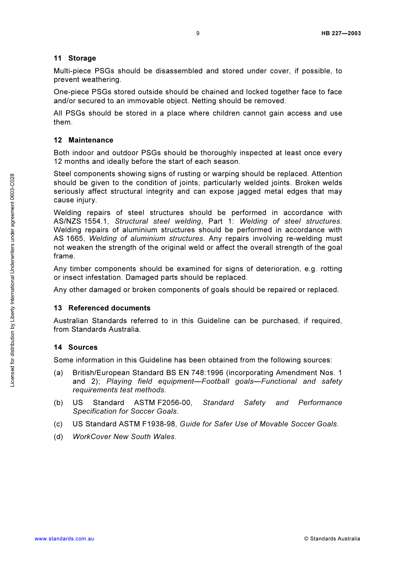#### 11 Storage

Multi-piece PSGs should be disassembled and stored under cover, if possible, to prevent weathering.

One-piece PSGs stored outside should be chained and locked together face to face and/or secured to an immovable object. Netting should be removed.

All PSGs should be stored in a place where children cannot gain access and use them.

#### 12 Maintenance

Both indoor and outdoor PSGs should be thoroughly inspected at least once every 12 months and ideally before the start of each season.

Steel components showing signs of rusting or warping should be replaced. Attention should be given to the condition of joints, particularly welded joints. Broken welds seriously affect structural integrity and can expose jagged metal edges that may cause injury.

Welding repairs of steel structures should be performed in accordance with AS/NZS 1554.1, Structural steel welding, Part 1: Welding of steel structures. Welding repairs of aluminium structures should be performed in accordance with AS 1665, Welding of aluminium structures. Any repairs involving re-welding must not weaken the strength of the original weld or affect the overall strength of the goal frame.

Any timber components should be examined for signs of deterioration, e.g. rotting or insect infestation. Damaged parts should be replaced.

Any other damaged or broken components of goals should be repaired or replaced.

#### 13 Referenced documents

Australian Standards referred to in this Guideline can be purchased, if required, from Standards Australia.

## 14 Sources

Some information in this Guideline has been obtained from the following sources:

- (a) British/European Standard BS EN 748:1996 (incorporating Amendment Nos. 1 and 2); Playing field equipment—Football goals—Functional and safety requirements test methods.
- (b) US Standard ASTM F2056-00, Standard Safety and Performance Specification for Soccer Goals.
- (c) US Standard ASTM F1938-98, Guide for Safer Use of Movable Soccer Goals.
- (d) WorkCover New South Wales.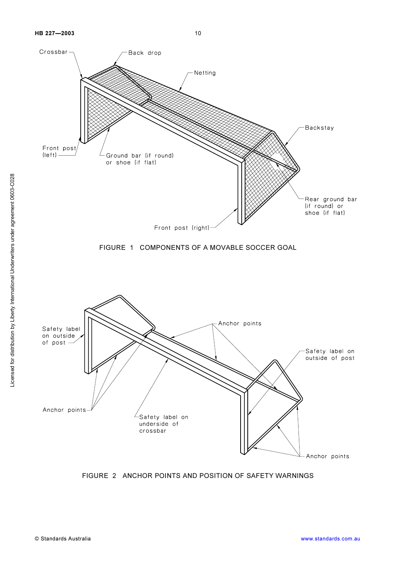

10

FIGURE 2 ANCHOR POINTS AND POSITION OF SAFETY WARNINGS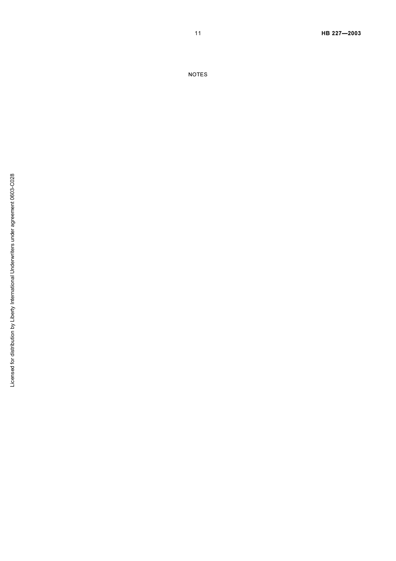NOTES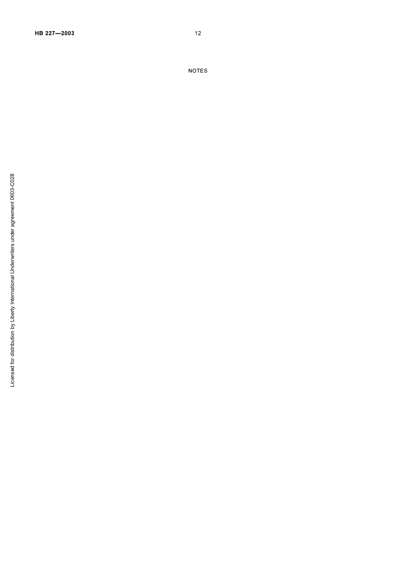NOTES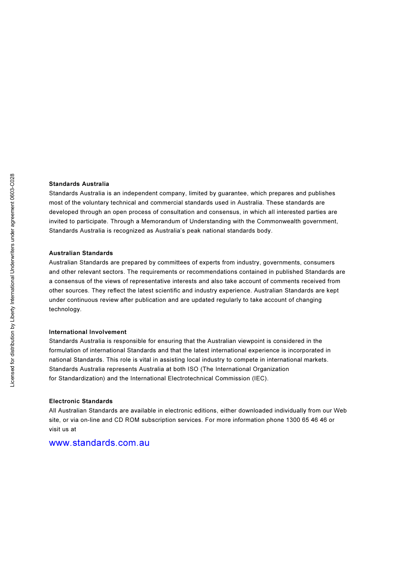#### Standards Australia

Standards Australia is an independent company, limited by guarantee, which prepares and publishes most of the voluntary technical and commercial standards used in Australia. These standards are developed through an open process of consultation and consensus, in which all interested parties are invited to participate. Through a Memorandum of Understanding with the Commonwealth government, Standards Australia is recognized as Australia's peak national standards body.

#### Australian Standards

Australian Standards are prepared by committees of experts from industry, governments, consumers and other relevant sectors. The requirements or recommendations contained in published Standards are a consensus of the views of representative interests and also take account of comments received from other sources. They reflect the latest scientific and industry experience. Australian Standards are kept under continuous review after publication and are updated regularly to take account of changing technology.

#### International Involvement

Standards Australia is responsible for ensuring that the Australian viewpoint is considered in the formulation of international Standards and that the latest international experience is incorporated in national Standards. This role is vital in assisting local industry to compete in international markets. Standards Australia represents Australia at both ISO (The International Organization for Standardization) and the International Electrotechnical Commission (IEC).

#### Electronic Standards

All Australian Standards are available in electronic editions, either downloaded individually from our Web site, or via on-line and CD ROM subscription services. For more information phone 1300 65 46 46 or visit us at

# [www.standards.com.au](http://www.standards.com.au)